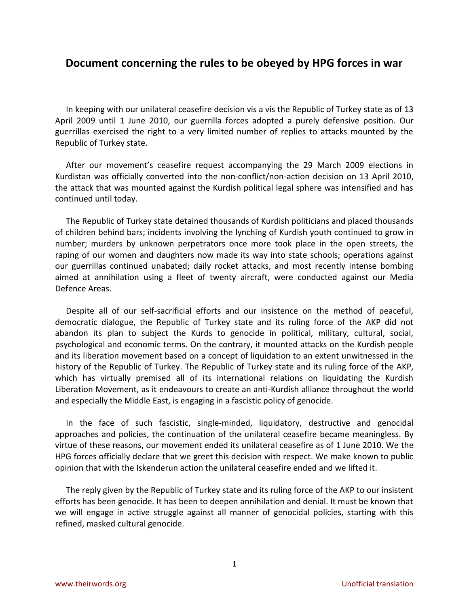## **Document concerning the rules to be obeyed by HPG forces in war**

In keeping with our unilateral ceasefire decision vis a vis the Republic of Turkey state as of 13 April 2009 until 1 June 2010, our guerrilla forces adopted a purely defensive position. Our guerrillas exercised the right to a very limited number of replies to attacks mounted by the Republic of Turkey state.

After our movement's ceasefire request accompanying the 29 March 2009 elections in Kurdistan was officially converted into the non-conflict/non-action decision on 13 April 2010, the attack that was mounted against the Kurdish political legal sphere was intensified and has continued until today.

The Republic of Turkey state detained thousands of Kurdish politicians and placed thousands of children behind bars; incidents involving the lynching of Kurdish youth continued to grow in number; murders by unknown perpetrators once more took place in the open streets, the raping of our women and daughters now made its way into state schools; operations against our guerrillas continued unabated; daily rocket attacks, and most recently intense bombing aimed at annihilation using a fleet of twenty aircraft, were conducted against our Media Defence Areas.

Despite all of our self-sacrificial efforts and our insistence on the method of peaceful, democratic dialogue, the Republic of Turkey state and its ruling force of the AKP did not abandon its plan to subject the Kurds to genocide in political, military, cultural, social, psychological and economic terms. On the contrary, it mounted attacks on the Kurdish people and its liberation movement based on a concept of liquidation to an extent unwitnessed in the history of the Republic of Turkey. The Republic of Turkey state and its ruling force of the AKP, which has virtually premised all of its international relations on liquidating the Kurdish Liberation Movement, as it endeavours to create an anti-Kurdish alliance throughout the world and especially the Middle East, is engaging in a fascistic policy of genocide.

In the face of such fascistic, single-minded, liquidatory, destructive and genocidal approaches and policies, the continuation of the unilateral ceasefire became meaningless. By virtue of these reasons, our movement ended its unilateral ceasefire as of 1 June 2010. We the HPG forces officially declare that we greet this decision with respect. We make known to public opinion that with the Iskenderun action the unilateral ceasefire ended and we lifted it.

The reply given by the Republic of Turkey state and its ruling force of the AKP to our insistent efforts has been genocide. It has been to deepen annihilation and denial. It must be known that we will engage in active struggle against all manner of genocidal policies, starting with this refined, masked cultural genocide.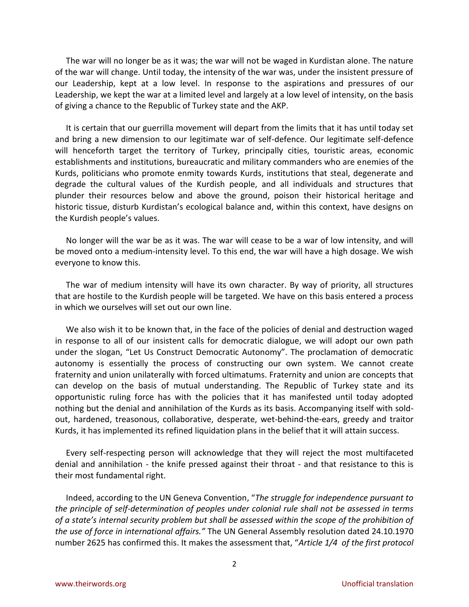The war will no longer be as it was; the war will not be waged in Kurdistan alone. The nature of the war will change. Until today, the intensity of the war was, under the insistent pressure of our Leadership, kept at a low level. In response to the aspirations and pressures of our Leadership, we kept the war at a limited level and largely at a low level of intensity, on the basis of giving a chance to the Republic of Turkey state and the AKP.

It is certain that our guerrilla movement will depart from the limits that it has until today set and bring a new dimension to our legitimate war of self-defence. Our legitimate self-defence will henceforth target the territory of Turkey, principally cities, touristic areas, economic establishments and institutions, bureaucratic and military commanders who are enemies of the Kurds, politicians who promote enmity towards Kurds, institutions that steal, degenerate and degrade the cultural values of the Kurdish people, and all individuals and structures that plunder their resources below and above the ground, poison their historical heritage and historic tissue, disturb Kurdistan's ecological balance and, within this context, have designs on the Kurdish people's values.

No longer will the war be as it was. The war will cease to be a war of low intensity, and will be moved onto a medium-intensity level. To this end, the war will have a high dosage. We wish everyone to know this.

The war of medium intensity will have its own character. By way of priority, all structures that are hostile to the Kurdish people will be targeted. We have on this basis entered a process in which we ourselves will set out our own line.

We also wish it to be known that, in the face of the policies of denial and destruction waged in response to all of our insistent calls for democratic dialogue, we will adopt our own path under the slogan, "Let Us Construct Democratic Autonomy". The proclamation of democratic autonomy is essentially the process of constructing our own system. We cannot create fraternity and union unilaterally with forced ultimatums. Fraternity and union are concepts that can develop on the basis of mutual understanding. The Republic of Turkey state and its opportunistic ruling force has with the policies that it has manifested until today adopted nothing but the denial and annihilation of the Kurds as its basis. Accompanying itself with soldout, hardened, treasonous, collaborative, desperate, wet-behind-the-ears, greedy and traitor Kurds, it has implemented its refined liquidation plans in the belief that it will attain success.

Every self-respecting person will acknowledge that they will reject the most multifaceted denial and annihilation - the knife pressed against their throat - and that resistance to this is their most fundamental right.

Indeed, according to the UN Geneva Convention, "*The struggle for independence pursuant to the principle of self-determination of peoples under colonial rule shall not be assessed in terms of a state's internal security problem but shall be assessed within the scope of the prohibition of the use of force in international affairs."* The UN General Assembly resolution dated 24.10.1970 number 2625 has confirmed this. It makes the assessment that, "*Article 1/4 of the first protocol*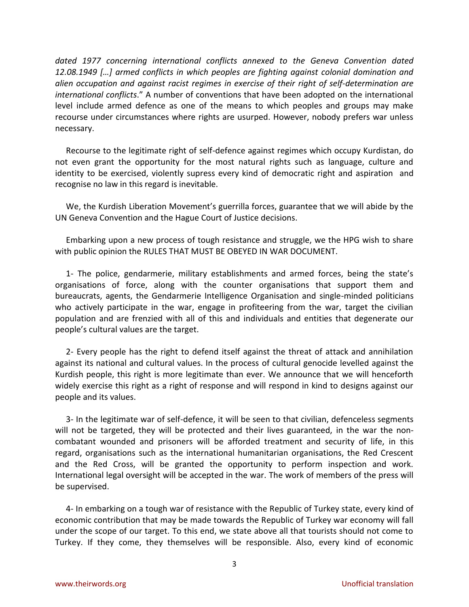*dated 1977 concerning international conflicts annexed to the Geneva Convention dated 12.08.1949 […] armed conflicts in which peoples are fighting against colonial domination and alien occupation and against racist regimes in exercise of their right of self-determination are international conflicts*." A number of conventions that have been adopted on the international level include armed defence as one of the means to which peoples and groups may make recourse under circumstances where rights are usurped. However, nobody prefers war unless necessary.

Recourse to the legitimate right of self-defence against regimes which occupy Kurdistan, do not even grant the opportunity for the most natural rights such as language, culture and identity to be exercised, violently supress every kind of democratic right and aspiration and recognise no law in this regard is inevitable.

We, the Kurdish Liberation Movement's guerrilla forces, guarantee that we will abide by the UN Geneva Convention and the Hague Court of Justice decisions.

Embarking upon a new process of tough resistance and struggle, we the HPG wish to share with public opinion the RULES THAT MUST BE OBEYED IN WAR DOCUMENT.

1- The police, gendarmerie, military establishments and armed forces, being the state's organisations of force, along with the counter organisations that support them and bureaucrats, agents, the Gendarmerie Intelligence Organisation and single-minded politicians who actively participate in the war, engage in profiteering from the war, target the civilian population and are frenzied with all of this and individuals and entities that degenerate our people's cultural values are the target.

2- Every people has the right to defend itself against the threat of attack and annihilation against its national and cultural values. In the process of cultural genocide levelled against the Kurdish people, this right is more legitimate than ever. We announce that we will henceforth widely exercise this right as a right of response and will respond in kind to designs against our people and its values.

3- In the legitimate war of self-defence, it will be seen to that civilian, defenceless segments will not be targeted, they will be protected and their lives guaranteed, in the war the noncombatant wounded and prisoners will be afforded treatment and security of life, in this regard, organisations such as the international humanitarian organisations, the Red Crescent and the Red Cross, will be granted the opportunity to perform inspection and work. International legal oversight will be accepted in the war. The work of members of the press will be supervised.

4- In embarking on a tough war of resistance with the Republic of Turkey state, every kind of economic contribution that may be made towards the Republic of Turkey war economy will fall under the scope of our target. To this end, we state above all that tourists should not come to Turkey. If they come, they themselves will be responsible. Also, every kind of economic